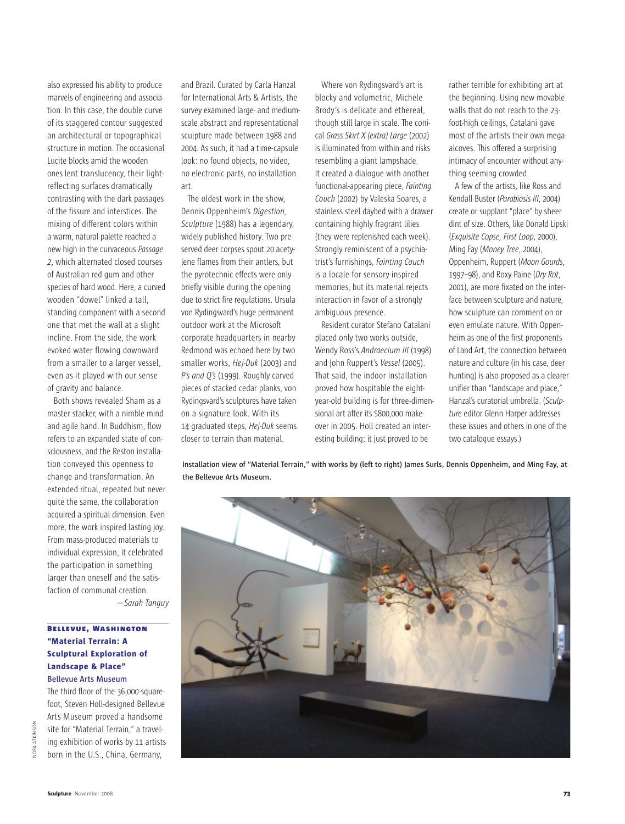also expressed his ability to produce marvels of engineering and association. In this case, the double curve of its staggered contour suggested an architectural or topographical structure in motion. The occasional Lucite blocks amid the wooden ones lent translucency, their lightreflecting surfaces dramatically contrasting with the dark passages of the fissure and interstices. The mixing of different colors within a warm, natural palette reached a new high in the curvaceous *Passage 2*, which alternated closed courses of Australian red gum and other species of hard wood. Here, a curved wooden "dowel" linked a tall, standing component with a second one that met the wall at a slight incline. From the side, the work evoked water flowing downward from a smaller to a larger vessel, even as it played with our sense of gravity and balance.

Both shows revealed Sham as a master stacker, with a nimble mind and agile hand. In Buddhism, flow refers to an expanded state of consciousness, and the Reston installation conveyed this openness to change and transformation. An extended ritual, repeated but never quite the same, the collaboration acquired a spiritual dimension. Even more, the work inspired lasting joy. From mass-produced materials to individual expression, it celebrated the participation in something larger than oneself and the satisfaction of communal creation. *—Sarah Tanguy*

## **BELLEVUE, WASHINGTON "Material Terrain: A Sculptural Exploration of Landscape & Place" Bellevue Arts Museum**

The third floor of the 36,000-squarefoot, Steven Holl-designed Bellevue Arts Museum proved a handsome site for "Material Terrain," a traveling exhibition of works by 11 artists born in the U.S., China, Germany,

NORA ATKINSON

JORA ATKINSON

and Brazil. Curated by Carla Hanzal for International Arts & Artists, the survey examined large- and mediumscale abstract and representational sculpture made between 1988 and 2004. As such, it had a time-capsule look: no found objects, no video, no electronic parts, no installation art.

The oldest work in the show, Dennis Oppenheim's *Digestion, Sculpture* (1988) has a legendary, widely published history. Two preserved deer corpses spout 20 acetylene flames from their antlers, but the pyrotechnic effects were only briefly visible during the opening due to strict fire regulations. Ursula von Rydingsvard's huge permanent outdoor work at the Microsoft corporate headquarters in nearby Redmond was echoed here by two smaller works, *Hej-Duk* (2003) and *P's and Q's* (1999). Roughly carved pieces of stacked cedar planks, von Rydingsvard's sculptures have taken on a signature look. With its 14 graduated steps, *Hej-Duk* seems closer to terrain than material.

Where von Rydingsvard's art is blocky and volumetric, Michele Brody's is delicate and ethereal, though still large in scale. The conical *Grass Skirt X (extra) Large* (2002) is illuminated from within and risks resembling a giant lampshade. It created a dialogue with another functional-appearing piece, *Fainting Couch* (2002) by Valeska Soares, a stainless steel daybed with a drawer containing highly fragrant lilies (they were replenished each week). Strongly reminiscent of a psychiatrist's furnishings, *Fainting Couch* is a locale for sensory-inspired memories, but its material rejects interaction in favor of a strongly ambiguous presence.

Resident curator Stefano Catalani placed only two works outside, Wendy Ross's *Andraecium III* (1998) and John Ruppert's *Vessel* (2005). That said, the indoor installation proved how hospitable the eightyear-old building is for three-dimensional art after its \$800,000 makeover in 2005. Holl created an interesting building; it just proved to be

rather terrible for exhibiting art at the beginning. Using new movable walls that do not reach to the 23 foot-high ceilings, Catalani gave most of the artists their own megaalcoves. This offered a surprising intimacy of encounter without anything seeming crowded.

A few of the artists, like Ross and Kendall Buster (*Parabiosis III*, 2004) create or supplant "place" by sheer dint of size. Others, like Donald Lipski (*Exquisite Copse, First Loop*, 2000), Ming Fay (*Money Tree*, 2004), Oppenheim, Ruppert (*Moon Gourds*, 1997–98), and Roxy Paine (*Dry Rot*, 2001), are more fixated on the interface between sculpture and nature, how sculpture can comment on or even emulate nature. With Oppenheim as one of the first proponents of Land Art, the connection between nature and culture (in his case, deer hunting) is also proposed as a clearer unifier than "landscape and place," Hanzal's curatorial umbrella. (*Sculpture* editor Glenn Harper addresses these issues and others in one of the two catalogue essays.)

Installation view of "Material Terrain," with works by (left to right) James Surls, Dennis Oppenheim, and Ming Fay, at **the Bellevue Arts Museum.**